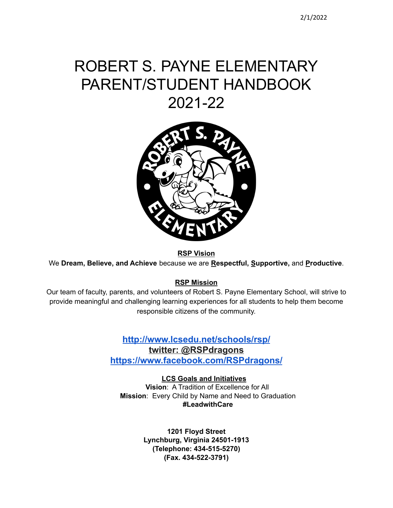# ROBERT S. PAYNE ELEMENTARY PARENT/STUDENT HANDBOOK 2021-22



#### **RSP Vision**

We **Dream, Believe, and Achieve** because we are **Respectful, Supportive,** and **Productive**.

# **RSP Mission**

Our team of faculty, parents, and volunteers of Robert S. Payne Elementary School, will strive to provide meaningful and challenging learning experiences for all students to help them become responsible citizens of the community.

# **<http://www.lcsedu.net/schools/rsp/> twitter: @RSPdragons <https://www.facebook.com/RSPdragons/>**

**LCS Goals and Initiatives Vision**: A Tradition of Excellence for All **Mission**: Every Child by Name and Need to Graduation **#LeadwithCare**

> **1201 Floyd Street Lynchburg, Virginia 24501-1913 (Telephone: 434-515-5270) (Fax. 434-522-3791)**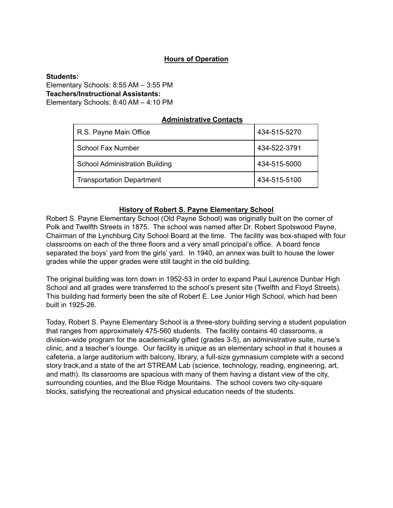# **Hours of Operation**

#### **Students:**

Elementary Schools: 8:55 AM – 3:55 PM **Teachers/Instructional Assistants:** Elementary Schools: 8:40 AM – 4:10 PM

#### **Administrative Contacts**

| R.S. Payne Main Office                | 434-515-5270 |
|---------------------------------------|--------------|
| <b>School Fax Number</b>              | 434-522-3791 |
| <b>School Administration Building</b> | 434-515-5000 |
| Transportation Department             | 434-515-5100 |

#### **History of Robert S. Payne Elementary School**

Robert S. Payne Elementary School (Old Payne School) was originally built on the corner of Polk and Twelfth Streets in 1875. The school was named after Dr. Robert Spotswood Payne, Chairman of the Lynchburg City School Board at the time. The facility was box-shaped with four classrooms on each of the three floors and a very small principal's office. A board fence separated the boys' yard from the girls' yard. In 1940, an annex was built to house the lower grades while the upper grades were still taught in the old building.

The original building was torn down in 1952-53 in order to expand Paul Laurence Dunbar High School and all grades were transferred to the school's present site (Twelfth and Floyd Streets). This building had formerly been the site of Robert E. Lee Junior High School, which had been built in 1925-26.

Today, Robert S. Payne Elementary School is a three-story building serving a student population that ranges from approximately 475-560 students. The facility contains 40 classrooms, a division-wide program for the academically gifted (grades 3-5), an administrative suite, nurse's clinic, and a teacher's lounge. Our facility is unique as an elementary school in that it houses a cafeteria, a large auditorium with balcony, library, a full-size gymnasium complete with a second story track,and a state of the art STREAM Lab (science, technology, reading, engineering, art, and math). Its classrooms are spacious with many of them having a distant view of the city, surrounding counties, and the Blue Ridge Mountains. The school covers two city-square blocks, satisfying the recreational and physical education needs of the students.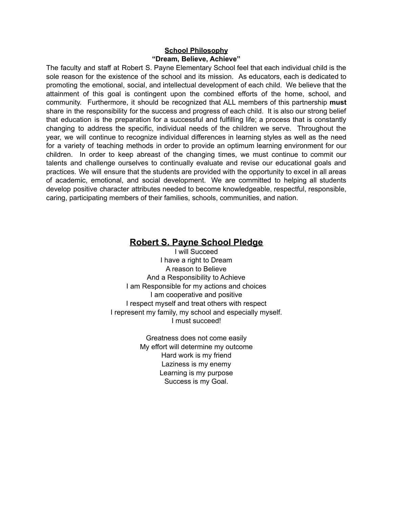#### **School Philosophy "Dream, Believe, Achieve"**

The faculty and staff at Robert S. Payne Elementary School feel that each individual child is the sole reason for the existence of the school and its mission. As educators, each is dedicated to promoting the emotional, social, and intellectual development of each child. We believe that the attainment of this goal is contingent upon the combined efforts of the home, school, and community. Furthermore, it should be recognized that ALL members of this partnership **must** share in the responsibility for the success and progress of each child. It is also our strong belief that education is the preparation for a successful and fulfilling life; a process that is constantly changing to address the specific, individual needs of the children we serve. Throughout the year, we will continue to recognize individual differences in learning styles as well as the need for a variety of teaching methods in order to provide an optimum learning environment for our children. In order to keep abreast of the changing times, we must continue to commit our talents and challenge ourselves to continually evaluate and revise our educational goals and practices. We will ensure that the students are provided with the opportunity to excel in all areas of academic, emotional, and social development. We are committed to helping all students develop positive character attributes needed to become knowledgeable, respectful, responsible, caring, participating members of their families, schools, communities, and nation.

# **Robert S. Payne School Pledge**

I will Succeed I have a right to Dream A reason to Believe And a Responsibility to Achieve I am Responsible for my actions and choices I am cooperative and positive I respect myself and treat others with respect I represent my family, my school and especially myself. I must succeed!

> Greatness does not come easily My effort will determine my outcome Hard work is my friend Laziness is my enemy Learning is my purpose Success is my Goal.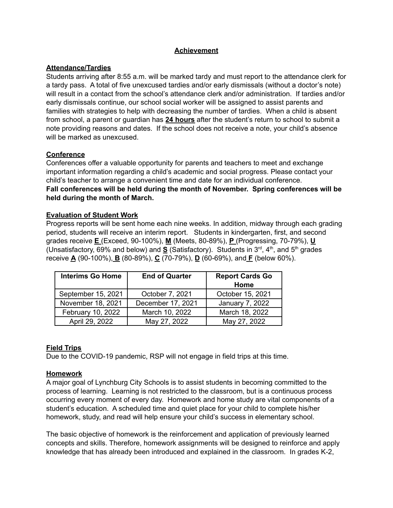# **Achievement**

# **Attendance/Tardies**

Students arriving after 8:55 a.m. will be marked tardy and must report to the attendance clerk for a tardy pass. A total of five unexcused tardies and/or early dismissals (without a doctor's note) will result in a contact from the school's attendance clerk and/or administration. If tardies and/or early dismissals continue, our school social worker will be assigned to assist parents and families with strategies to help with decreasing the number of tardies. When a child is absent from school, a parent or guardian has **24 hours** after the student's return to school to submit a note providing reasons and dates. If the school does not receive a note, your child's absence will be marked as unexcused.

# **Conference**

Conferences offer a valuable opportunity for parents and teachers to meet and exchange important information regarding a child's academic and social progress. Please contact your child's teacher to arrange a convenient time and date for an individual conference. **Fall conferences will be held during the month of November. Spring conferences will be held during the month of March.**

# **Evaluation of Student Work**

Progress reports will be sent home each nine weeks. In addition, midway through each grading period, students will receive an interim report. Students in kindergarten, first, and second grades receive **E** (Exceed, 90-100%), **M** (Meets, 80-89%), **P** (Progressing, 70-79%), **U** (Unsatisfactory, 69% and below) and  $S$  (Satisfactory). Students in  $3^{rd}$ ,  $4^{th}$ , and  $5^{th}$  grades receive **A** (90-100%), **B** (80-89%), **C** (70-79%), **D** (60-69%), and **F** (below 60%).

| <b>Interims Go Home</b> | <b>End of Quarter</b> | <b>Report Cards Go</b><br>Home |
|-------------------------|-----------------------|--------------------------------|
| September 15, 2021      | October 7, 2021       | October 15, 2021               |
| November 18, 2021       | December 17, 2021     | January 7, 2022                |
| February 10, 2022       | March 10, 2022        | March 18, 2022                 |
| April 29, 2022          | May 27, 2022          | May 27, 2022                   |

# **Field Trips**

Due to the COVID-19 pandemic, RSP will not engage in field trips at this time.

# **Homework**

A major goal of Lynchburg City Schools is to assist students in becoming committed to the process of learning. Learning is not restricted to the classroom, but is a continuous process occurring every moment of every day. Homework and home study are vital components of a student's education. A scheduled time and quiet place for your child to complete his/her homework, study, and read will help ensure your child's success in elementary school.

The basic objective of homework is the reinforcement and application of previously learned concepts and skills. Therefore, homework assignments will be designed to reinforce and apply knowledge that has already been introduced and explained in the classroom. In grades K-2,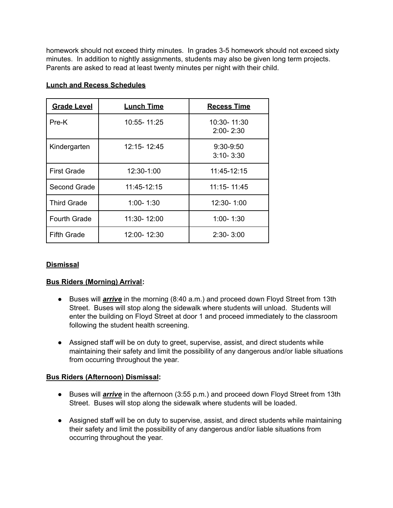homework should not exceed thirty minutes. In grades 3-5 homework should not exceed sixty minutes. In addition to nightly assignments, students may also be given long term projects. Parents are asked to read at least twenty minutes per night with their child.

| <b>Lunch and Recess Schedules</b> |  |
|-----------------------------------|--|
|-----------------------------------|--|

| <b>Grade Level</b>  | <b>Lunch Time</b> | <b>Recess Time</b>           |
|---------------------|-------------------|------------------------------|
| Pre-K               | 10:55-11:25       | 10:30-11:30<br>$2:00 - 2:30$ |
| Kindergarten        | $12:15 - 12:45$   | $9:30-9:50$<br>$3:10 - 3:30$ |
| <b>First Grade</b>  | 12:30-1:00        | 11:45-12:15                  |
| Second Grade        | 11:45-12:15       | 11:15-11:45                  |
| <b>Third Grade</b>  | $1:00 - 1:30$     | 12:30-1:00                   |
| <b>Fourth Grade</b> | 11:30-12:00       | $1:00 - 1:30$                |
| <b>Fifth Grade</b>  | 12:00-12:30       | $2:30 - 3:00$                |

# **Dismissal**

# **Bus Riders (Morning) Arrival:**

- Buses will *arrive* in the morning (8:40 a.m.) and proceed down Floyd Street from 13th Street. Buses will stop along the sidewalk where students will unload. Students will enter the building on Floyd Street at door 1 and proceed immediately to the classroom following the student health screening.
- Assigned staff will be on duty to greet, supervise, assist, and direct students while maintaining their safety and limit the possibility of any dangerous and/or liable situations from occurring throughout the year.

#### **Bus Riders (Afternoon) Dismissal:**

- Buses will *arrive* in the afternoon (3:55 p.m.) and proceed down Floyd Street from 13th Street. Buses will stop along the sidewalk where students will be loaded.
- Assigned staff will be on duty to supervise, assist, and direct students while maintaining their safety and limit the possibility of any dangerous and/or liable situations from occurring throughout the year.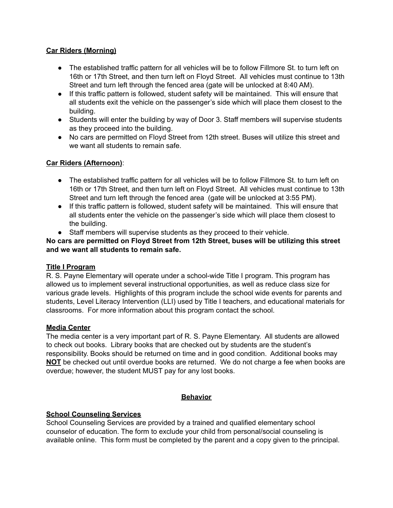# **Car Riders (Morning)**

- The established traffic pattern for all vehicles will be to follow Fillmore St. to turn left on 16th or 17th Street, and then turn left on Floyd Street. All vehicles must continue to 13th Street and turn left through the fenced area (gate will be unlocked at 8:40 AM).
- If this traffic pattern is followed, student safety will be maintained. This will ensure that all students exit the vehicle on the passenger's side which will place them closest to the building.
- Students will enter the building by way of Door 3. Staff members will supervise students as they proceed into the building.
- No cars are permitted on Floyd Street from 12th street. Buses will utilize this street and we want all students to remain safe.

# **Car Riders (Afternoon)**:

- The established traffic pattern for all vehicles will be to follow Fillmore St. to turn left on 16th or 17th Street, and then turn left on Floyd Street. All vehicles must continue to 13th Street and turn left through the fenced area (gate will be unlocked at 3:55 PM).
- If this traffic pattern is followed, student safety will be maintained. This will ensure that all students enter the vehicle on the passenger's side which will place them closest to the building.
- Staff members will supervise students as they proceed to their vehicle.

**No cars are permitted on Floyd Street from 12th Street, buses will be utilizing this street and we want all students to remain safe.**

#### **Title I Program**

R. S. Payne Elementary will operate under a school-wide Title I program. This program has allowed us to implement several instructional opportunities, as well as reduce class size for various grade levels. Highlights of this program include the school wide events for parents and students, Level Literacy Intervention (LLI) used by Title I teachers, and educational materials for classrooms. For more information about this program contact the school.

#### **Media Center**

The media center is a very important part of R. S. Payne Elementary. All students are allowed to check out books. Library books that are checked out by students are the student's responsibility. Books should be returned on time and in good condition. Additional books may **NOT** be checked out until overdue books are returned. We do not charge a fee when books are overdue; however, the student MUST pay for any lost books.

#### **Behavior**

# **School Counseling Services**

School Counseling Services are provided by a trained and qualified elementary school counselor of education. The form to exclude your child from personal/social counseling is available online. This form must be completed by the parent and a copy given to the principal.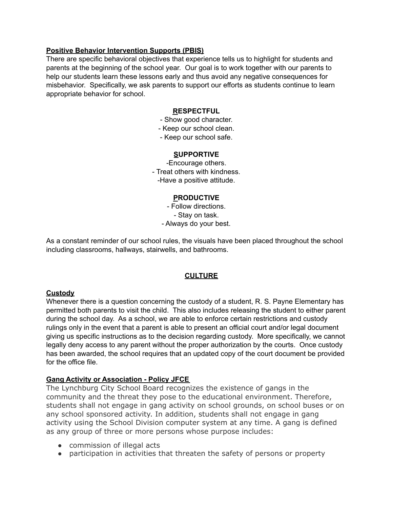# **Positive Behavior Intervention Supports (PBIS)**

There are specific behavioral objectives that experience tells us to highlight for students and parents at the beginning of the school year. Our goal is to work together with our parents to help our students learn these lessons early and thus avoid any negative consequences for misbehavior. Specifically, we ask parents to support our efforts as students continue to learn appropriate behavior for school.

#### **RESPECTFUL**

- Show good character.
- Keep our school clean.
- Keep our school safe.

#### **SUPPORTIVE**

-Encourage others. - Treat others with kindness. -Have a positive attitude.

#### **PRODUCTIVE**

- Follow directions. - Stay on task. - Always do your best.

As a constant reminder of our school rules, the visuals have been placed throughout the school including classrooms, hallways, stairwells, and bathrooms.

#### **CULTURE**

#### **Custody**

Whenever there is a question concerning the custody of a student, R. S. Payne Elementary has permitted both parents to visit the child. This also includes releasing the student to either parent during the school day. As a school, we are able to enforce certain restrictions and custody rulings only in the event that a parent is able to present an official court and/or legal document giving us specific instructions as to the decision regarding custody. More specifically, we cannot legally deny access to any parent without the proper authorization by the courts. Once custody has been awarded, the school requires that an updated copy of the court document be provided for the office file.

#### **Gang Activity or Association - Policy JFCE**

The Lynchburg City School Board recognizes the existence of gangs in the community and the threat they pose to the educational environment. Therefore, students shall not engage in gang activity on school grounds, on school buses or on any school sponsored activity. In addition, students shall not engage in gang activity using the School Division computer system at any time. A gang is defined as any group of three or more persons whose purpose includes:

- commission of illegal acts
- participation in activities that threaten the safety of persons or property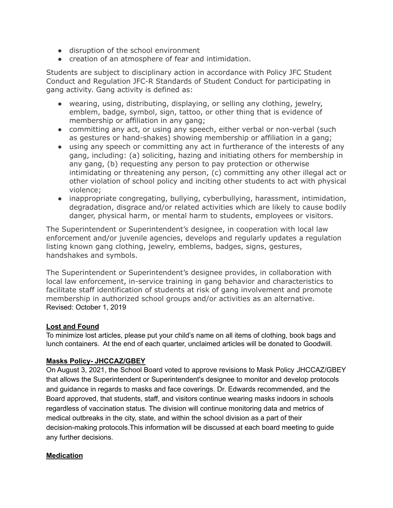- disruption of the school environment
- creation of an atmosphere of fear and intimidation.

Students are subject to disciplinary action in accordance with Policy JFC Student Conduct and Regulation JFC-R Standards of Student Conduct for participating in gang activity. Gang activity is defined as:

- wearing, using, distributing, displaying, or selling any clothing, jewelry, emblem, badge, symbol, sign, tattoo, or other thing that is evidence of membership or affiliation in any gang;
- committing any act, or using any speech, either verbal or non-verbal (such as gestures or hand-shakes) showing membership or affiliation in a gang;
- using any speech or committing any act in furtherance of the interests of any gang, including: (a) soliciting, hazing and initiating others for membership in any gang, (b) requesting any person to pay protection or otherwise intimidating or threatening any person, (c) committing any other illegal act or other violation of school policy and inciting other students to act with physical violence;
- inappropriate congregating, bullying, cyberbullying, harassment, intimidation, degradation, disgrace and/or related activities which are likely to cause bodily danger, physical harm, or mental harm to students, employees or visitors.

The Superintendent or Superintendent's designee, in cooperation with local law enforcement and/or juvenile agencies, develops and regularly updates a regulation listing known gang clothing, jewelry, emblems, badges, signs, gestures, handshakes and symbols.

The Superintendent or Superintendent's designee provides, in collaboration with local law enforcement, in-service training in gang behavior and characteristics to facilitate staff identification of students at risk of gang involvement and promote membership in authorized school groups and/or activities as an alternative. Revised: October 1, 2019

# **Lost and Found**

To minimize lost articles, please put your child's name on all items of clothing, book bags and lunch containers. At the end of each quarter, unclaimed articles will be donated to Goodwill.

# **Masks Policy- JHCCAZ/GBEY**

On August 3, 2021, the School Board voted to approve revisions to Mask Policy JHCCAZ/GBEY that allows the Superintendent or Superintendent's designee to monitor and develop protocols and guidance in regards to masks and face coverings. Dr. Edwards recommended, and the Board approved, that students, staff, and visitors continue wearing masks indoors in schools regardless of vaccination status. The division will continue monitoring data and metrics of medical outbreaks in the city, state, and within the school division as a part of their decision-making protocols.This information will be discussed at each board meeting to guide any further decisions.

# **Medication**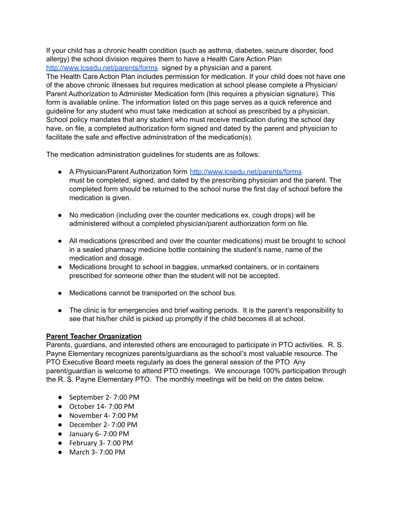If your child has a chronic health condition (such as asthma, diabetes, seizure disorder, food allergy) the school division requires them to have a Health Care Action Plan <http://www.lcsedu.net/parents/forms> signed by a physician and a parent.

The Health Care Action Plan includes permission for medication. If your child does not have one of the above chronic illnesses but requires medication at school please complete a Physician/ Parent Authorization to Administer Medication form (this requires a physician signature). This form is available online. The information listed on this page serves as a quick reference and guideline for any student who must take medication at school as prescribed by a physician. School policy mandates that any student who must receive medication during the school day have, on file, a completed authorization form signed and dated by the parent and physician to facilitate the safe and effective administration of the medication(s).

The medication administration guidelines for students are as follows:

- A Physician/Parent Authorization form <http://www.lcsedu.net/parents/forms> must be completed, signed, and dated by the prescribing physician and the parent. The completed form should be returned to the school nurse the first day of school before the medication is given.
- No medication (including over the counter medications ex. cough drops) will be administered without a completed physician/parent authorization form on file.
- All medications (prescribed and over the counter medications) must be brought to school in a sealed pharmacy medicine bottle containing the student's name, name of the medication and dosage.
- Medications brought to school in baggies, unmarked containers, or in containers prescribed for someone other than the student will not be accepted.
- Medications cannot be transported on the school bus.
- The clinic is for emergencies and brief waiting periods. It is the parent's responsibility to see that his/her child is picked up promptly if the child becomes ill at school.

# **Parent Teacher Organization**

Parents, guardians, and interested others are encouraged to participate in PTO activities. R. S. Payne Elementary recognizes parents/guardians as the school's most valuable resource. The PTO Executive Board meets regularly as does the general session of the PTO Any parent/guardian is welcome to attend PTO meetings. We encourage 100% participation through the R. S. Payne Elementary PTO. The monthly meetings will be held on the dates below.

- September 2-7:00 PM
- October 14-7:00 PM
- November 4-7:00 PM
- December 2-7:00 PM
- January 6- 7:00 PM
- February 3-7:00 PM
- March 3- 7:00 PM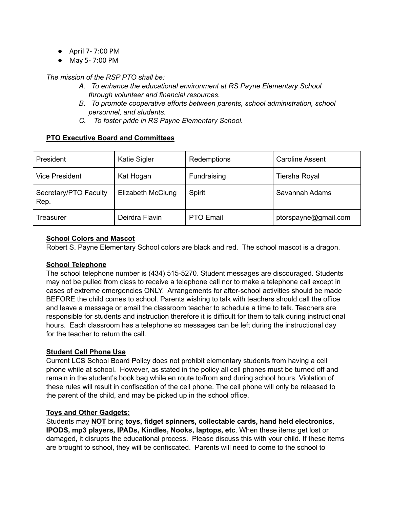- April 7- 7:00 PM
- May 5- 7:00 PM

# *The mission of the RSP PTO shall be:*

- *A. To enhance the educational environment at RS Payne Elementary School through volunteer and financial resources.*
- *B. To promote cooperative efforts between parents, school administration, school personnel, and students.*
- *C. To foster pride in RS Payne Elementary School.*

# **PTO Executive Board and Committees**

| President                     | <b>Katie Sigler</b> | Redemptions      | <b>Caroline Assent</b> |
|-------------------------------|---------------------|------------------|------------------------|
| <b>Vice President</b>         | Kat Hogan           | Fundraising      | Tiersha Royal          |
| Secretary/PTO Faculty<br>Rep. | Elizabeth McClung   | Spirit           | Savannah Adams         |
| Treasurer                     | Deirdra Flavin      | <b>PTO Email</b> | ptorspayne@gmail.com   |

#### **School Colors and Mascot**

Robert S. Payne Elementary School colors are black and red. The school mascot is a dragon.

#### **School Telephone**

The school telephone number is (434) 515-5270. Student messages are discouraged. Students may not be pulled from class to receive a telephone call nor to make a telephone call except in cases of extreme emergencies ONLY. Arrangements for after-school activities should be made BEFORE the child comes to school. Parents wishing to talk with teachers should call the office and leave a message or email the classroom teacher to schedule a time to talk. Teachers are responsible for students and instruction therefore it is difficult for them to talk during instructional hours. Each classroom has a telephone so messages can be left during the instructional day for the teacher to return the call.

#### **Student Cell Phone Use**

Current LCS School Board Policy does not prohibit elementary students from having a cell phone while at school. However, as stated in the policy all cell phones must be turned off and remain in the student's book bag while en route to/from and during school hours. Violation of these rules will result in confiscation of the cell phone. The cell phone will only be released to the parent of the child, and may be picked up in the school office.

#### **Toys and Other Gadgets:**

Students may **NOT** bring **toys, fidget spinners, collectable cards, hand held electronics, IPODS, mp3 players, IPADs, Kindles, Nooks, laptops, etc**. When these items get lost or damaged, it disrupts the educational process. Please discuss this with your child. If these items are brought to school, they will be confiscated. Parents will need to come to the school to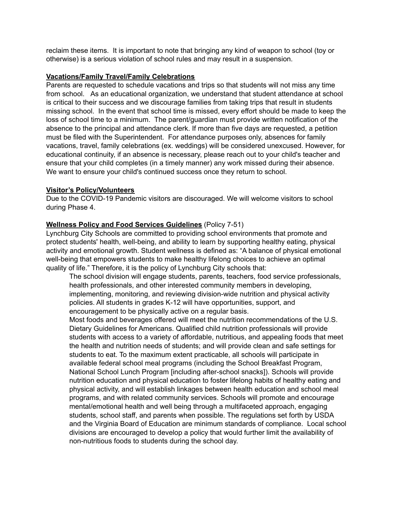reclaim these items. It is important to note that bringing any kind of weapon to school (toy or otherwise) is a serious violation of school rules and may result in a suspension.

#### **Vacations/Family Travel/Family Celebrations**

Parents are requested to schedule vacations and trips so that students will not miss any time from school. As an educational organization, we understand that student attendance at school is critical to their success and we discourage families from taking trips that result in students missing school. In the event that school time is missed, every effort should be made to keep the loss of school time to a minimum. The parent/guardian must provide written notification of the absence to the principal and attendance clerk. If more than five days are requested, a petition must be filed with the Superintendent. For attendance purposes only, absences for family vacations, travel, family celebrations (ex. weddings) will be considered unexcused. However, for educational continuity, if an absence is necessary, please reach out to your child's teacher and ensure that your child completes (in a timely manner) any work missed during their absence. We want to ensure your child's continued success once they return to school.

#### **Visitor's Policy/Volunteers**

Due to the COVID-19 Pandemic visitors are discouraged. We will welcome visitors to school during Phase 4.

# **Wellness Policy and Food Services Guidelines** (Policy 7-51)

Lynchburg City Schools are committed to providing school environments that promote and protect students' health, well-being, and ability to learn by supporting healthy eating, physical activity and emotional growth. Student wellness is defined as: "A balance of physical emotional well-being that empowers students to make healthy lifelong choices to achieve an optimal quality of life." Therefore, it is the policy of Lynchburg City schools that:

The school division will engage students, parents, teachers, food service professionals, health professionals, and other interested community members in developing, implementing, monitoring, and reviewing division-wide nutrition and physical activity policies. All students in grades K-12 will have opportunities, support, and encouragement to be physically active on a regular basis.

Most foods and beverages offered will meet the nutrition recommendations of the U.S. Dietary Guidelines for Americans. Qualified child nutrition professionals will provide students with access to a variety of affordable, nutritious, and appealing foods that meet the health and nutrition needs of students; and will provide clean and safe settings for students to eat. To the maximum extent practicable, all schools will participate in available federal school meal programs (including the School Breakfast Program, National School Lunch Program [including after-school snacks]). Schools will provide nutrition education and physical education to foster lifelong habits of healthy eating and physical activity, and will establish linkages between health education and school meal programs, and with related community services. Schools will promote and encourage mental/emotional health and well being through a multifaceted approach, engaging students, school staff, and parents when possible. The regulations set forth by USDA and the Virginia Board of Education are minimum standards of compliance. Local school divisions are encouraged to develop a policy that would further limit the availability of non-nutritious foods to students during the school day.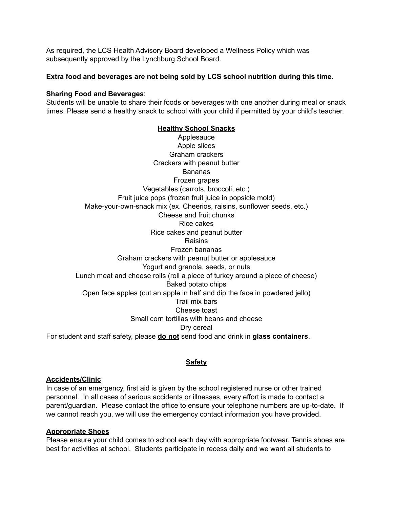As required, the LCS Health Advisory Board developed a Wellness Policy which was subsequently approved by the Lynchburg School Board.

#### **Extra food and beverages are not being sold by LCS school nutrition during this time.**

#### **Sharing Food and Beverages**:

Students will be unable to share their foods or beverages with one another during meal or snack times. Please send a healthy snack to school with your child if permitted by your child's teacher.

**Healthy School Snacks** Applesauce Apple slices Graham crackers Crackers with peanut butter Bananas Frozen grapes Vegetables (carrots, broccoli, etc.) Fruit juice pops (frozen fruit juice in popsicle mold) Make-your-own-snack mix (ex. Cheerios, raisins, sunflower seeds, etc.) Cheese and fruit chunks Rice cakes Rice cakes and peanut butter Raisins Frozen bananas Graham crackers with peanut butter or applesauce Yogurt and granola, seeds, or nuts Lunch meat and cheese rolls (roll a piece of turkey around a piece of cheese) Baked potato chips Open face apples (cut an apple in half and dip the face in powdered jello) Trail mix bars Cheese toast Small corn tortillas with beans and cheese Dry cereal For student and staff safety, please **do not** send food and drink in **glass containers**.

#### **Safety**

#### **Accidents/Clinic**

In case of an emergency, first aid is given by the school registered nurse or other trained personnel. In all cases of serious accidents or illnesses, every effort is made to contact a parent/guardian. Please contact the office to ensure your telephone numbers are up-to-date. If we cannot reach you, we will use the emergency contact information you have provided.

#### **Appropriate Shoes**

Please ensure your child comes to school each day with appropriate footwear. Tennis shoes are best for activities at school. Students participate in recess daily and we want all students to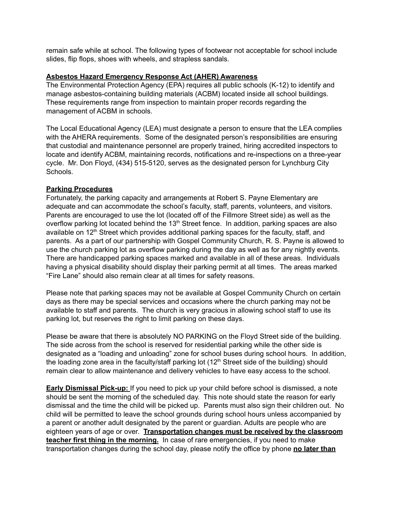remain safe while at school. The following types of footwear not acceptable for school include slides, flip flops, shoes with wheels, and strapless sandals.

#### **Asbestos Hazard Emergency Response Act (AHER) Awareness**

The Environmental Protection Agency (EPA) requires all public schools (K-12) to identify and manage asbestos-containing building materials (ACBM) located inside all school buildings. These requirements range from inspection to maintain proper records regarding the management of ACBM in schools.

The Local Educational Agency (LEA) must designate a person to ensure that the LEA complies with the AHERA requirements. Some of the designated person's responsibilities are ensuring that custodial and maintenance personnel are properly trained, hiring accredited inspectors to locate and identify ACBM, maintaining records, notifications and re-inspections on a three-year cycle. Mr. Don Floyd, (434) 515-5120, serves as the designated person for Lynchburg City Schools.

#### **Parking Procedures**

Fortunately, the parking capacity and arrangements at Robert S. Payne Elementary are adequate and can accommodate the school's faculty, staff, parents, volunteers, and visitors. Parents are encouraged to use the lot (located off of the Fillmore Street side) as well as the overflow parking lot located behind the  $13<sup>th</sup>$  Street fence. In addition, parking spaces are also available on 12<sup>th</sup> Street which provides additional parking spaces for the faculty, staff, and parents. As a part of our partnership with Gospel Community Church, R. S. Payne is allowed to use the church parking lot as overflow parking during the day as well as for any nightly events. There are handicapped parking spaces marked and available in all of these areas. Individuals having a physical disability should display their parking permit at all times. The areas marked "Fire Lane" should also remain clear at all times for safety reasons.

Please note that parking spaces may not be available at Gospel Community Church on certain days as there may be special services and occasions where the church parking may not be available to staff and parents. The church is very gracious in allowing school staff to use its parking lot, but reserves the right to limit parking on these days.

Please be aware that there is absolutely NO PARKING on the Floyd Street side of the building. The side across from the school is reserved for residential parking while the other side is designated as a "loading and unloading" zone for school buses during school hours. In addition, the loading zone area in the faculty/staff parking lot (12<sup>th</sup> Street side of the building) should remain clear to allow maintenance and delivery vehicles to have easy access to the school.

**Early Dismissal Pick-up:** If you need to pick up your child before school is dismissed, a note should be sent the morning of the scheduled day. This note should state the reason for early dismissal and the time the child will be picked up. Parents must also sign their children out. No child will be permitted to leave the school grounds during school hours unless accompanied by a parent or another adult designated by the parent or guardian. Adults are people who are eighteen years of age or over. **Transportation changes must be received by the classroom teacher first thing in the morning.** In case of rare emergencies, if you need to make transportation changes during the school day, please notify the office by phone **no later than**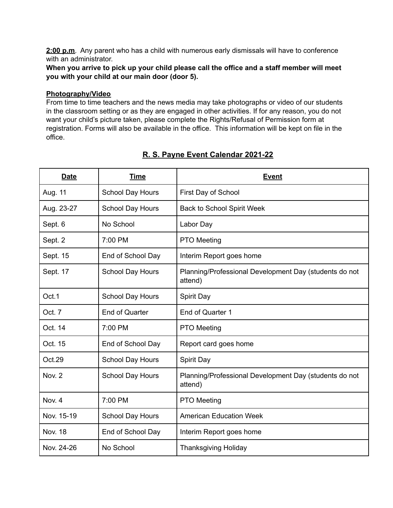**2:00 p.m**. Any parent who has a child with numerous early dismissals will have to conference with an administrator.

**When you arrive to pick up your child please call the office and a staff member will meet you with your child at our main door (door 5).**

# **Photography/Video**

From time to time teachers and the news media may take photographs or video of our students in the classroom setting or as they are engaged in other activities. If for any reason, you do not want your child's picture taken, please complete the Rights/Refusal of Permission form at registration. Forms will also be available in the office. This information will be kept on file in the office.

| <b>Date</b>    | <b>Time</b>             | <b>Event</b>                                                      |
|----------------|-------------------------|-------------------------------------------------------------------|
| Aug. 11        | <b>School Day Hours</b> | First Day of School                                               |
| Aug. 23-27     | <b>School Day Hours</b> | <b>Back to School Spirit Week</b>                                 |
| Sept. 6        | No School               | Labor Day                                                         |
| Sept. 2        | 7:00 PM                 | <b>PTO Meeting</b>                                                |
| Sept. 15       | End of School Day       | Interim Report goes home                                          |
| Sept. 17       | School Day Hours        | Planning/Professional Development Day (students do not<br>attend) |
| Oct.1          | <b>School Day Hours</b> | Spirit Day                                                        |
| Oct. 7         | <b>End of Quarter</b>   | End of Quarter 1                                                  |
| Oct. 14        | 7:00 PM                 | <b>PTO Meeting</b>                                                |
| Oct. 15        | End of School Day       | Report card goes home                                             |
| Oct.29         | School Day Hours        | Spirit Day                                                        |
| Nov. 2         | <b>School Day Hours</b> | Planning/Professional Development Day (students do not<br>attend) |
| Nov. 4         | 7:00 PM                 | <b>PTO Meeting</b>                                                |
| Nov. 15-19     | <b>School Day Hours</b> | <b>American Education Week</b>                                    |
| <b>Nov. 18</b> | End of School Day       | Interim Report goes home                                          |
| Nov. 24-26     | No School               | <b>Thanksgiving Holiday</b>                                       |

# **R. S. Payne Event Calendar 2021-22**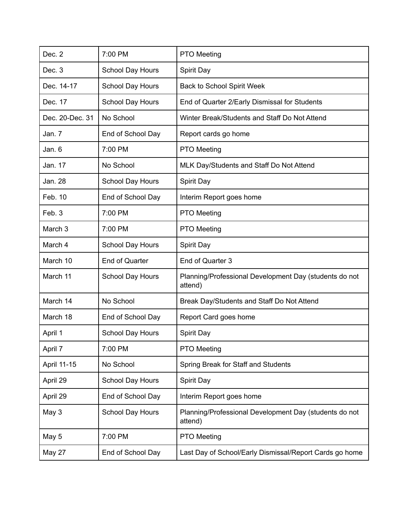| Dec. 2          | 7:00 PM                 | <b>PTO Meeting</b>                                                |
|-----------------|-------------------------|-------------------------------------------------------------------|
| Dec. 3          | <b>School Day Hours</b> | Spirit Day                                                        |
| Dec. 14-17      | School Day Hours        | <b>Back to School Spirit Week</b>                                 |
| Dec. 17         | <b>School Day Hours</b> | End of Quarter 2/Early Dismissal for Students                     |
| Dec. 20-Dec. 31 | No School               | Winter Break/Students and Staff Do Not Attend                     |
| Jan. 7          | End of School Day       | Report cards go home                                              |
| Jan. 6          | 7:00 PM                 | <b>PTO Meeting</b>                                                |
| Jan. 17         | No School               | MLK Day/Students and Staff Do Not Attend                          |
| Jan. 28         | <b>School Day Hours</b> | <b>Spirit Day</b>                                                 |
| Feb. 10         | End of School Day       | Interim Report goes home                                          |
| Feb. 3          | 7:00 PM                 | <b>PTO Meeting</b>                                                |
| March 3         | 7:00 PM                 | <b>PTO Meeting</b>                                                |
| March 4         | <b>School Day Hours</b> | Spirit Day                                                        |
| March 10        | <b>End of Quarter</b>   | End of Quarter 3                                                  |
| March 11        | School Day Hours        | Planning/Professional Development Day (students do not<br>attend) |
| March 14        | No School               | Break Day/Students and Staff Do Not Attend                        |
| March 18        | End of School Day       | Report Card goes home                                             |
| April 1         | <b>School Day Hours</b> | Spirit Day                                                        |
| April 7         | 7:00 PM                 | PTO Meeting                                                       |
| April 11-15     | No School               | Spring Break for Staff and Students                               |
| April 29        | <b>School Day Hours</b> | Spirit Day                                                        |
| April 29        | End of School Day       | Interim Report goes home                                          |
| May 3           | <b>School Day Hours</b> | Planning/Professional Development Day (students do not<br>attend) |
| May 5           | 7:00 PM                 | <b>PTO Meeting</b>                                                |
| May 27          | End of School Day       | Last Day of School/Early Dismissal/Report Cards go home           |